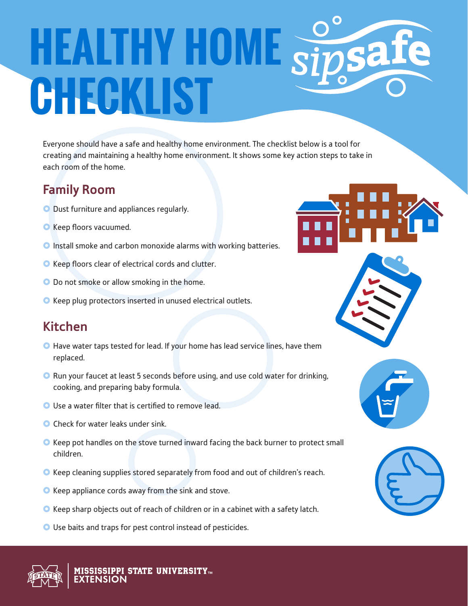# **HEALTHY HOME Size CHECKLIST**

Everyone should have a safe and healthy home environment. The checklist below is a tool for creating and maintaining a healthy home environment. It shows some key action steps to take in each room of the home.

### **Family Room**

- O Dust furniture and appliances regularly.
- **O** Keep floors vacuumed.
- **O** Install smoke and carbon monoxide alarms with working batteries.
- **O** Keep floors clear of electrical cords and clutter.
- O Do not smoke or allow smoking in the home.
- **O** Keep plug protectors inserted in unused electrical outlets.

## **Kitchen**

- **O** Have water taps tested for lead. If your home has lead service lines, have them replaced.
- **O** Run your faucet at least 5 seconds before using, and use cold water for drinking, cooking, and preparing baby formula.
- Use a water filter that is certified to remove lead.
- **O** Check for water leaks under sink.
- **O** Keep pot handles on the stove turned inward facing the back burner to protect small children.
- **O** Keep cleaning supplies stored separately from food and out of children's reach.
- **O** Keep appliance cords away from the sink and stove.
- **O** Keep sharp objects out of reach of children or in a cabinet with a safety latch.
- O Use baits and traps for pest control instead of pesticides.







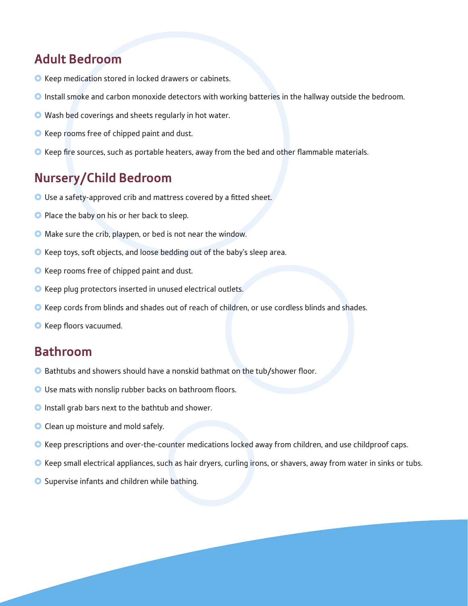#### **Adult Bedroom**

- **O** Keep medication stored in locked drawers or cabinets.
- **O** Install smoke and carbon monoxide detectors with working batteries in the hallway outside the bedroom.
- Wash bed coverings and sheets regularly in hot water.
- **O** Keep rooms free of chipped paint and dust.
- **O** Keep fire sources, such as portable heaters, away from the bed and other flammable materials.

#### **Nursery/Child Bedroom**

- O Use a safety-approved crib and mattress covered by a fitted sheet.
- **Place the baby on his or her back to sleep.**
- Make sure the crib, playpen, or bed is not near the window.
- **O** Keep toys, soft objects, and loose bedding out of the baby's sleep area.
- **O** Keep rooms free of chipped paint and dust.
- **O** Keep plug protectors inserted in unused electrical outlets.
- **O** Keep cords from blinds and shades out of reach of children, or use cordless blinds and shades.
- **O** Keep floors vacuumed.

#### **Bathroom**

- **O** Bathtubs and showers should have a nonskid bathmat on the tub/shower floor.
- Use mats with nonslip rubber backs on bathroom floors.
- **O** Install grab bars next to the bathtub and shower.
- **O** Clean up moisture and mold safely.
- **O** Keep prescriptions and over-the-counter medications locked away from children, and use childproof caps.
- **O** Keep small electrical appliances, such as hair dryers, curling irons, or shavers, away from water in sinks or tubs.
- **O** Supervise infants and children while bathing.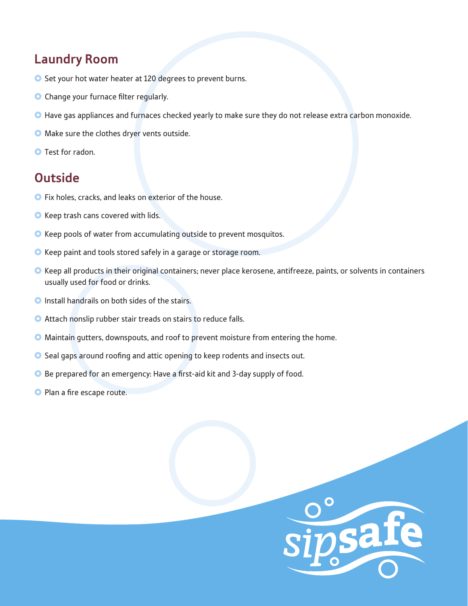#### **Laundry Room**

- **O** Set your hot water heater at 120 degrees to prevent burns.
- **O** Change your furnace filter regularly.
- **O** Have gas appliances and furnaces checked yearly to make sure they do not release extra carbon monoxide.
- **O** Make sure the clothes dryer vents outside.
- **O** Test for radon.

#### **Outside**

- **O** Fix holes, cracks, and leaks on exterior of the house.
- **O** Keep trash cans covered with lids.
- **O** Keep pools of water from accumulating outside to prevent mosquitos.
- **O** Keep paint and tools stored safely in a garage or storage room.
- **O** Keep all products in their original containers; never place kerosene, antifreeze, paints, or solvents in containers usually used for food or drinks.
- **O** Install handrails on both sides of the stairs.
- **O** Attach nonslip rubber stair treads on stairs to reduce falls.
- **O** Maintain gutters, downspouts, and roof to prevent moisture from entering the home.
- **O** Seal gaps around roofing and attic opening to keep rodents and insects out.
- **O** Be prepared for an emergency: Have a first-aid kit and 3-day supply of food.
- **O** Plan a fire escape route.